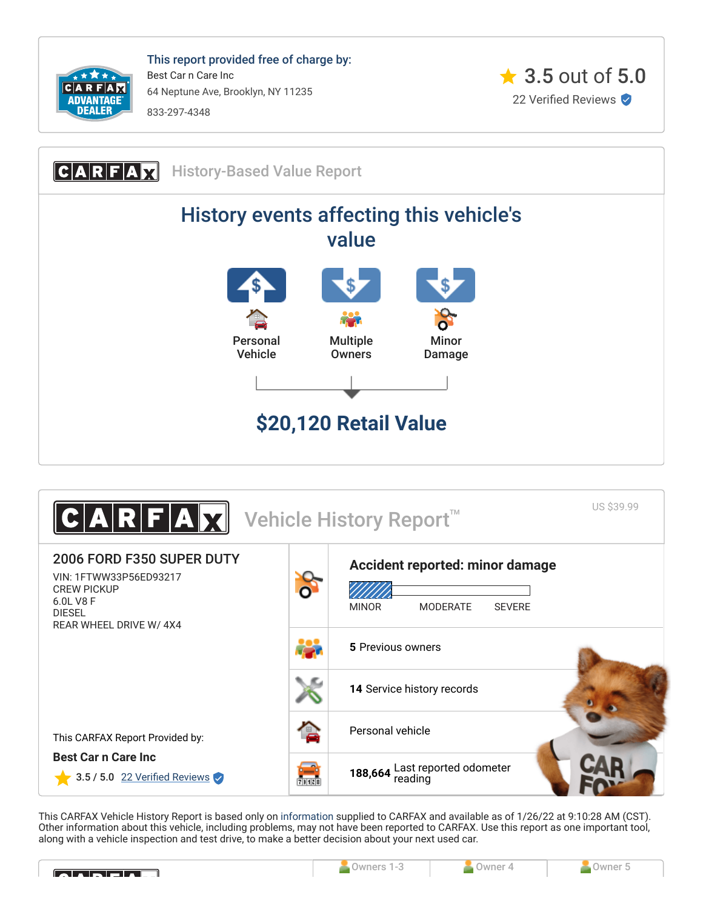

This report provided free of charge by: Best Car n Care Inc 64 Neptune Ave, Brooklyn, NY 11235 833-297-4348







This CARFAX Vehicle History Report is based only on [information](http://www.carfax.com/company/vhr-data-sources) supplied to CARFAX and available as of 1/26/22 at 9:10:28 AM (CST). Other information about this vehicle, including problems, may not have been reported to CARFAX. Use this report as one important tool, along with a vehicle inspection and test drive, to make a better decision about your next used car.

<span id="page-0-0"></span>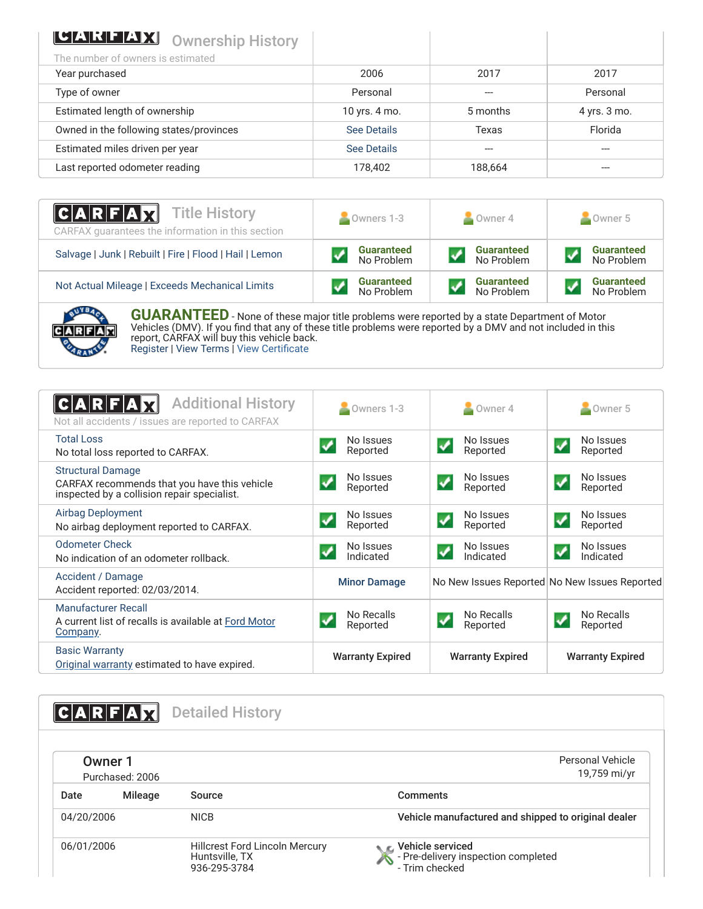| <b>CEART TAX Ownership History</b>      |               |          |              |
|-----------------------------------------|---------------|----------|--------------|
| The number of owners is estimated       |               |          |              |
| Year purchased                          | 2006          | 2017     | 2017         |
| Type of owner                           | Personal      |          | Personal     |
| Estimated length of ownership           | 10 yrs. 4 mo. | 5 months | 4 yrs. 3 mo. |
| Owned in the following states/provinces | See Details   | Texas    | Florida      |
| Estimated miles driven per year         | See Details   |          |              |
| Last reported odometer reading          | 178,402       | 188,664  |              |

| <b>CARFAX</b> Title History<br>CARFAX quarantees the information in this section | $\sim$ Owners 1-3 | $\bullet$ Owner 4 | $\sim$ Owner 5    |  |
|----------------------------------------------------------------------------------|-------------------|-------------------|-------------------|--|
| Salvage   Junk   Rebuilt   Fire   Flood   Hail   Lemon                           | <b>Guaranteed</b> | <b>Guaranteed</b> | <b>Guaranteed</b> |  |
|                                                                                  | No Problem        | No Problem        | No Problem        |  |
| Not Actual Mileage   Exceeds Mechanical Limits                                   | <b>Guaranteed</b> | <b>Guaranteed</b> | <b>Guaranteed</b> |  |
|                                                                                  | No Problem        | No Problem        | No Problem        |  |



**GUARANTEED** - None of these major title problems were reported by a state Department of Motor Vehicles (DMV). If you find that any of these title problems were reported by a DMV and not included in this report, CARFAX will buy this vehicle back. [Register](https://www.carfax.com/Service/bbg) | [View Terms](http://www.carfaxonline.com/legal/bbgTerms) | [View Certificate](https://www.carfaxonline.com/vhrs/1FTWW33P56ED93217)

<span id="page-1-0"></span>

| <b>Additional History</b><br>ICARFA<br>Not all accidents / issues are reported to CARFAX                                | Owners 1-3                                    | Owner 4                                        | Owner 5                                        |
|-------------------------------------------------------------------------------------------------------------------------|-----------------------------------------------|------------------------------------------------|------------------------------------------------|
| <b>Total Loss</b><br>No total loss reported to CARFAX.                                                                  | No Issues<br>Reported                         | No Issues<br>Reported                          | No Issues<br>Reported                          |
| <b>Structural Damage</b><br>CARFAX recommends that you have this vehicle<br>inspected by a collision repair specialist. | No Issues<br>Reported                         | No Issues<br>Reported                          | No Issues<br>$\checkmark$<br>Reported          |
| <b>Airbag Deployment</b><br>No airbag deployment reported to CARFAX.                                                    | No Issues<br>$\blacktriangledown$<br>Reported | No Issues<br>$\blacklozenge$<br>Reported       | No Issues<br>$\blacklozenge$<br>Reported       |
| <b>Odometer Check</b><br>No indication of an odometer rollback.                                                         | No Issues<br>Indicated                        | No Issues<br>$\blacktriangledown$<br>Indicated | No Issues<br>$\blacktriangledown$<br>Indicated |
| Accident / Damage<br>Accident reported: 02/03/2014.                                                                     | <b>Minor Damage</b>                           |                                                | No New Issues Reported No New Issues Reported  |
| Manufacturer Recall<br>A current list of recalls is available at Ford Motor<br>Company.                                 | No Recalls<br>Reported                        | No Recalls<br>Reported                         | No Recalls<br>Reported                         |
| <b>Basic Warranty</b><br>Original warranty estimated to have expired.                                                   | <b>Warranty Expired</b>                       | <b>Warranty Expired</b>                        | <b>Warranty Expired</b>                        |

<span id="page-1-2"></span><span id="page-1-1"></span>

|            |                            | <b>Detailed History</b>                                                 |                                                                             |
|------------|----------------------------|-------------------------------------------------------------------------|-----------------------------------------------------------------------------|
|            | Owner 1<br>Purchased: 2006 |                                                                         | Personal Vehicle<br>19,759 mi/yr                                            |
| Date       | Mileage                    | Source                                                                  | Comments                                                                    |
| 04/20/2006 |                            | <b>NICB</b>                                                             | Vehicle manufactured and shipped to original dealer                         |
| 06/01/2006 |                            | <b>Hillcrest Ford Lincoln Mercury</b><br>Huntsville, TX<br>936-295-3784 | C Vehicle serviced<br>- Pre-delivery inspection completed<br>- Trim checked |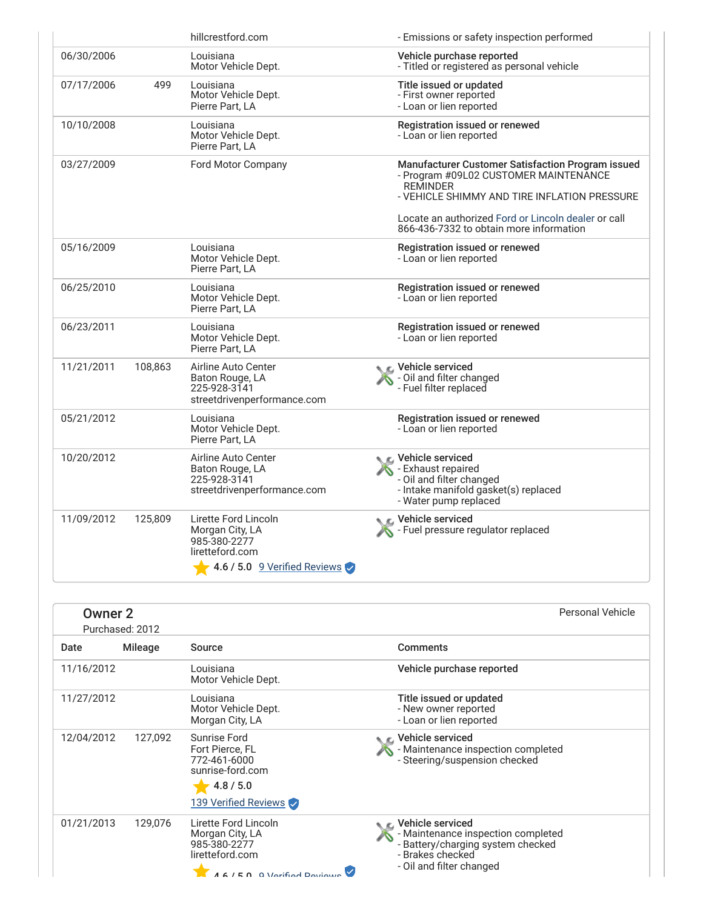|            |         | hillcrestford.com                                                                                                                | - Emissions or safety inspection performed                                                                                                                    |
|------------|---------|----------------------------------------------------------------------------------------------------------------------------------|---------------------------------------------------------------------------------------------------------------------------------------------------------------|
| 06/30/2006 |         | Louisiana<br>Motor Vehicle Dept.                                                                                                 | Vehicle purchase reported<br>- Titled or registered as personal vehicle                                                                                       |
| 07/17/2006 | 499     | Louisiana<br>Motor Vehicle Dept.<br>Pierre Part, LA                                                                              | Title issued or updated<br>- First owner reported<br>- Loan or lien reported                                                                                  |
| 10/10/2008 |         | Louisiana<br>Motor Vehicle Dept.<br>Pierre Part, LA                                                                              | Registration issued or renewed<br>- Loan or lien reported                                                                                                     |
| 03/27/2009 |         | Ford Motor Company                                                                                                               | Manufacturer Customer Satisfaction Program issued<br>- Program #09L02 CUSTOMER MAINTENANCE<br><b>REMINDER</b><br>- VEHICLE SHIMMY AND TIRE INFLATION PRESSURE |
|            |         |                                                                                                                                  | Locate an authorized Ford or Lincoln dealer or call<br>866-436-7332 to obtain more information                                                                |
| 05/16/2009 |         | Louisiana<br>Motor Vehicle Dept.<br>Pierre Part, LA                                                                              | Registration issued or renewed<br>- Loan or lien reported                                                                                                     |
| 06/25/2010 |         | Louisiana<br>Motor Vehicle Dept.<br>Pierre Part, LA                                                                              | Registration issued or renewed<br>- Loan or lien reported                                                                                                     |
| 06/23/2011 |         | Louisiana<br>Motor Vehicle Dept.<br>Pierre Part, LA                                                                              | Registration issued or renewed<br>- Loan or lien reported                                                                                                     |
| 11/21/2011 | 108,863 | Airline Auto Center<br>Baton Rouge, LA<br>225-928-3141<br>streetdrivenperformance.com                                            | Vehicle serviced<br>- Oil and filter changed<br>- Fuel filter replaced                                                                                        |
| 05/21/2012 |         | Louisiana<br>Motor Vehicle Dept.<br>Pierre Part, LA                                                                              | Registration issued or renewed<br>- Loan or lien reported                                                                                                     |
| 10/20/2012 |         | Airline Auto Center<br>Baton Rouge, LA<br>225-928-3141<br>streetdrivenperformance.com                                            | <b>NE</b> Vehicle serviced<br>Exhaust repaired<br>- Oil and filter changed<br>- Intake manifold gasket(s) replaced<br>- Water pump replaced                   |
| 11/09/2012 | 125,809 | Lirette Ford Lincoln<br>Morgan City, LA<br>985-380-2277<br>liretteford.com<br>$\blacktriangleright$ 4.6 / 5.0 9 Verified Reviews | C Vehicle serviced<br>Fuel pressure regulator replaced                                                                                                        |

| <b>Owner 2</b><br>Purchased: 2012 |                |                                                                                                          | <b>Personal Vehicle</b>                                                                                                                     |  |
|-----------------------------------|----------------|----------------------------------------------------------------------------------------------------------|---------------------------------------------------------------------------------------------------------------------------------------------|--|
| Date                              | <b>Mileage</b> | Source                                                                                                   | <b>Comments</b>                                                                                                                             |  |
| 11/16/2012                        |                | Louisiana<br>Motor Vehicle Dept.                                                                         | Vehicle purchase reported                                                                                                                   |  |
| 11/27/2012                        |                | Louisiana<br>Motor Vehicle Dept.<br>Morgan City, LA                                                      | Title issued or updated<br>- New owner reported<br>- Loan or lien reported                                                                  |  |
| 12/04/2012                        | 127,092        | Sunrise Ford<br>Fort Pierce, FL<br>772-461-6000<br>sunrise-ford.com<br>4.8 / 5.0                         | ← Vehicle serviced<br>- Maintenance inspection completed<br>- Steering/suspension checked                                                   |  |
|                                   |                | 139 Verified Reviews                                                                                     |                                                                                                                                             |  |
| 01/21/2013                        | 129,076        | Lirette Ford Lincoln<br>Morgan City, LA<br>985-380-2277<br>liretteford.com<br>$AE/ED$ O Verified Deviewe | Vehicle serviced<br>- Maintenance inspection completed<br>- Battery/charging system checked<br>- Brakes checked<br>- Oil and filter changed |  |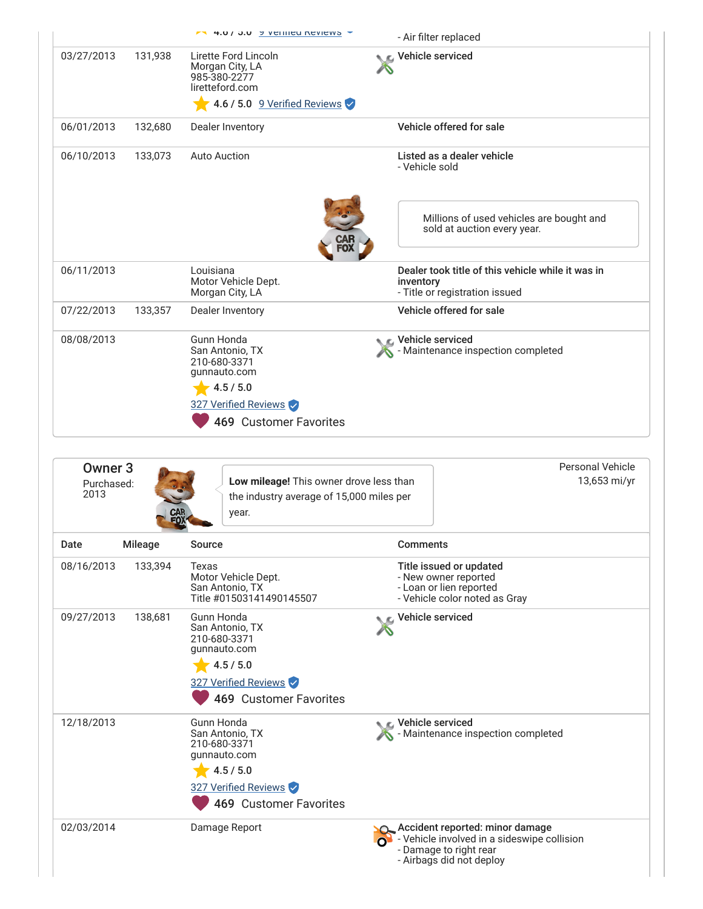|                                          |         | $7.4.0$ / $3.0$ $\rightarrow$ $v$ emiled Reviews $\rightarrow$                                                                      |                 | - Air filter replaced                                                                                       |
|------------------------------------------|---------|-------------------------------------------------------------------------------------------------------------------------------------|-----------------|-------------------------------------------------------------------------------------------------------------|
| 03/27/2013                               | 131,938 | Lirette Ford Lincoln<br>Morgan City, LA<br>985-380-2277<br>liretteford.com<br>4.6 / 5.0 9 Verified Reviews                          |                 | Vehicle serviced                                                                                            |
| 06/01/2013                               | 132,680 | Dealer Inventory                                                                                                                    |                 | Vehicle offered for sale                                                                                    |
| 06/10/2013                               | 133,073 | <b>Auto Auction</b>                                                                                                                 |                 | Listed as a dealer vehicle<br>- Vehicle sold                                                                |
|                                          |         |                                                                                                                                     |                 | Millions of used vehicles are bought and<br>sold at auction every year.                                     |
| 06/11/2013                               |         | Louisiana<br>Motor Vehicle Dept.<br>Morgan City, LA                                                                                 | inventory       | Dealer took title of this vehicle while it was in<br>- Title or registration issued                         |
| 07/22/2013                               | 133,357 | Dealer Inventory                                                                                                                    |                 | Vehicle offered for sale                                                                                    |
| 08/08/2013                               |         | Gunn Honda<br>San Antonio, TX<br>210-680-3371<br>gunnauto.com<br>4.5 / 5.0                                                          |                 | Vehicle serviced<br>Maintenance inspection completed                                                        |
|                                          |         | 327 Verified Reviews<br>469 Customer Favorites                                                                                      |                 |                                                                                                             |
| Owner <sub>3</sub><br>Purchased:<br>2013 |         | Low mileage! This owner drove less than<br>the industry average of 15,000 miles per<br>year.                                        |                 | <b>Personal Vehicle</b><br>13,653 mi/yr                                                                     |
|                                          | Mileage | Source                                                                                                                              | <b>Comments</b> |                                                                                                             |
|                                          | 133,394 | Texas<br>Motor Vehicle Dept.<br>San Antonio, TX<br>Title #01503141490145507                                                         |                 | Title issued or updated<br>- New owner reported<br>- Loan or lien reported<br>- Vehicle color noted as Gray |
| Date<br>08/16/2013<br>09/27/2013         | 138,681 | <b>Gunn Honda</b><br>San Antonio, TX<br>210-680-3371<br>gunnauto.com<br>4.5 / 5.0<br>327 Verified Reviews<br>469 Customer Favorites |                 | Vehicle serviced                                                                                            |
| 12/18/2013                               |         | Gunn Honda<br>San Antonio, TX<br>210-680-3371<br>gunnauto.com<br>4.5 / 5.0<br>327 Verified Reviews<br>469 Customer Favorites        |                 | Vehicle serviced<br>Maintenance inspection completed                                                        |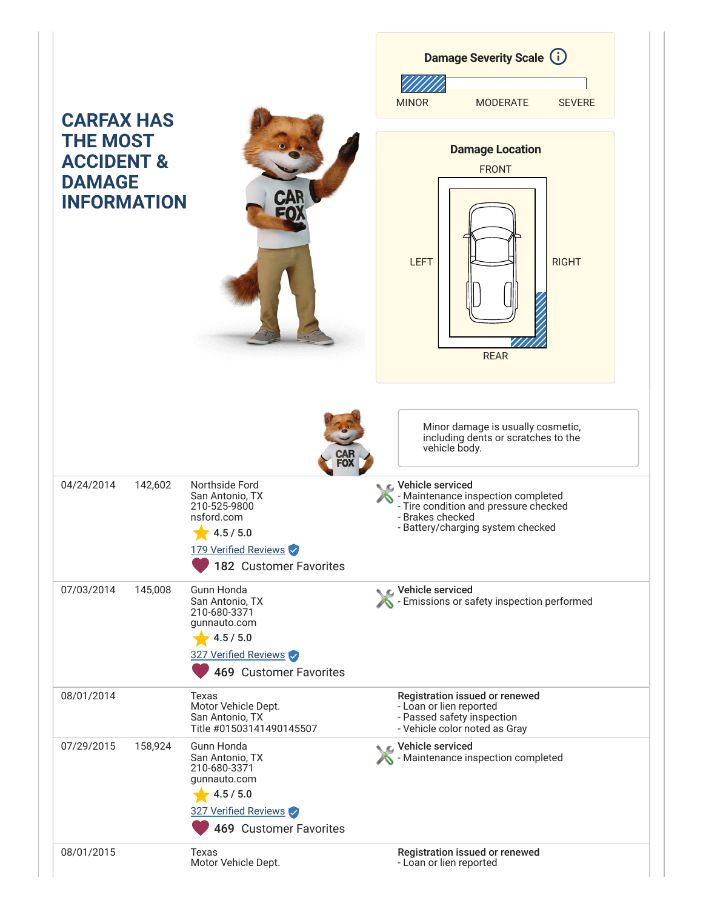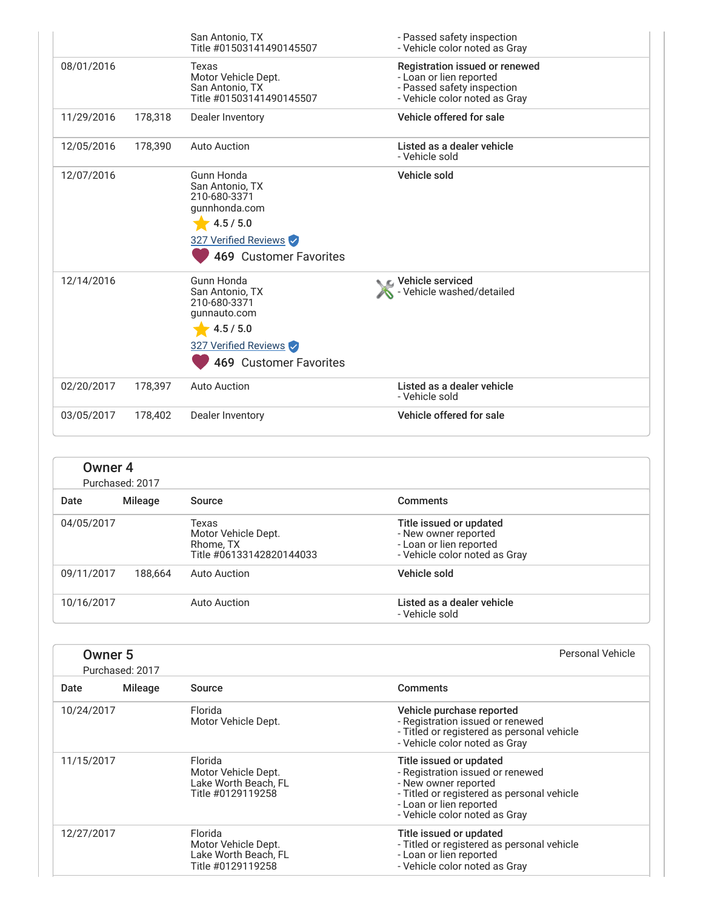|            |         | San Antonio, TX<br>Title #01503141490145507                                                                                          | - Passed safety inspection<br>- Vehicle color noted as Gray                                                              |
|------------|---------|--------------------------------------------------------------------------------------------------------------------------------------|--------------------------------------------------------------------------------------------------------------------------|
| 08/01/2016 |         | Texas<br>Motor Vehicle Dept.<br>San Antonio, TX<br>Title #01503141490145507                                                          | Registration issued or renewed<br>- Loan or lien reported<br>- Passed safety inspection<br>- Vehicle color noted as Gray |
| 11/29/2016 | 178,318 | Dealer Inventory                                                                                                                     | Vehicle offered for sale                                                                                                 |
| 12/05/2016 | 178,390 | Auto Auction                                                                                                                         | Listed as a dealer vehicle<br>- Vehicle sold                                                                             |
| 12/07/2016 |         | Gunn Honda<br>San Antonio, TX<br>210-680-3371<br>gunnhonda.com<br>4.5 / 5.0<br>327 Verified Reviews<br><b>469 Customer Favorites</b> | Vehicle sold                                                                                                             |
| 12/14/2016 |         | <b>Gunn Honda</b><br>San Antonio, TX<br>210-680-3371<br>qunnauto.com<br>4.5 / 5.0<br>327 Verified Reviews<br>469 Customer Favorites  | C Vehicle serviced<br>- Vehicle washed/detailed                                                                          |
| 02/20/2017 | 178,397 | <b>Auto Auction</b>                                                                                                                  | Listed as a dealer vehicle<br>- Vehicle sold                                                                             |
| 03/05/2017 | 178,402 | Dealer Inventory                                                                                                                     | Vehicle offered for sale                                                                                                 |

| Owner 4<br>Purchased: 2017 |         |                                                                       |                                                                                                             |  |
|----------------------------|---------|-----------------------------------------------------------------------|-------------------------------------------------------------------------------------------------------------|--|
| Date                       | Mileage | Source                                                                | <b>Comments</b>                                                                                             |  |
| 04/05/2017                 |         | Texas<br>Motor Vehicle Dept.<br>Rhome, TX<br>Title #06133142820144033 | Title issued or updated<br>- New owner reported<br>- Loan or lien reported<br>- Vehicle color noted as Gray |  |
| 09/11/2017                 | 188.664 | Auto Auction                                                          | Vehicle sold                                                                                                |  |
| 10/16/2017                 |         | Auto Auction                                                          | Listed as a dealer vehicle<br>- Vehicle sold                                                                |  |

| Owner <sub>5</sub><br>Purchased: 2017 |         |                                                                             | Personal Vehicle                                                                                                                                                                              |
|---------------------------------------|---------|-----------------------------------------------------------------------------|-----------------------------------------------------------------------------------------------------------------------------------------------------------------------------------------------|
| Date                                  | Mileage | Source                                                                      | <b>Comments</b>                                                                                                                                                                               |
| 10/24/2017                            |         | Florida<br>Motor Vehicle Dept.                                              | Vehicle purchase reported<br>- Registration issued or renewed<br>- Titled or registered as personal vehicle<br>- Vehicle color noted as Gray                                                  |
| 11/15/2017                            |         | Florida<br>Motor Vehicle Dept.<br>Lake Worth Beach, FL<br>Title #0129119258 | Title issued or updated<br>- Registration issued or renewed<br>- New owner reported<br>- Titled or registered as personal vehicle<br>- Loan or lien reported<br>- Vehicle color noted as Gray |
| 12/27/2017                            |         | Florida<br>Motor Vehicle Dept.<br>Lake Worth Beach, FL<br>Title #0129119258 | Title issued or updated<br>- Titled or registered as personal vehicle<br>- Loan or lien reported<br>- Vehicle color noted as Gray                                                             |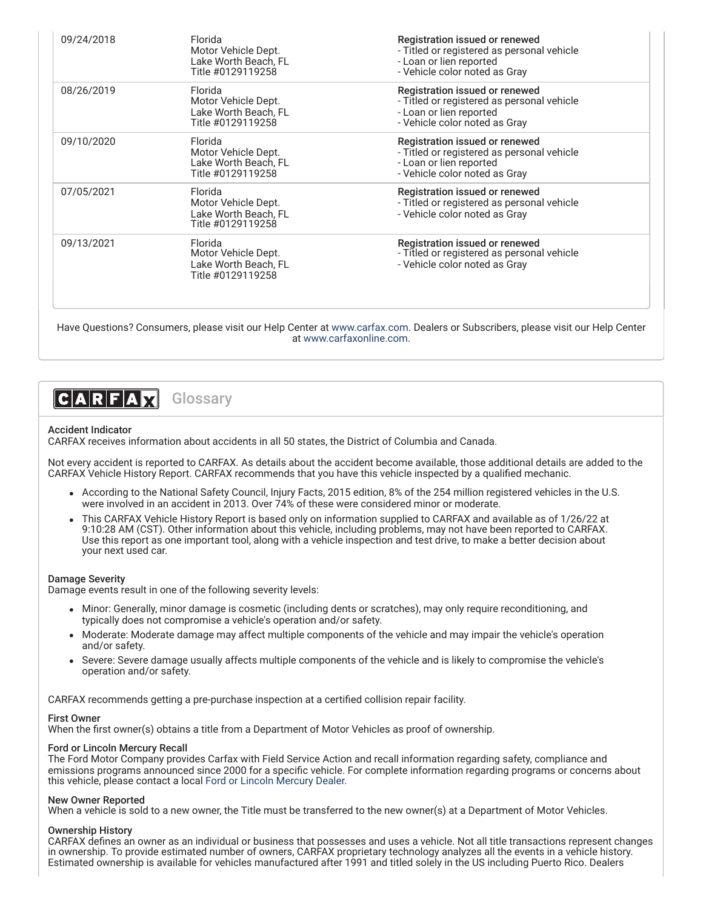| 09/24/2018 | Florida<br>Motor Vehicle Dept.<br>Lake Worth Beach. FL<br>Title #0129119258 | Registration issued or renewed<br>- Titled or registered as personal vehicle<br>- Loan or lien reported<br>- Vehicle color noted as Gray |
|------------|-----------------------------------------------------------------------------|------------------------------------------------------------------------------------------------------------------------------------------|
| 08/26/2019 | Florida<br>Motor Vehicle Dept.<br>Lake Worth Beach, FL<br>Title #0129119258 | Registration issued or renewed<br>- Titled or registered as personal vehicle<br>- Loan or lien reported<br>- Vehicle color noted as Gray |
| 09/10/2020 | Florida<br>Motor Vehicle Dept.<br>Lake Worth Beach, FL<br>Title #0129119258 | Registration issued or renewed<br>- Titled or registered as personal vehicle<br>- Loan or lien reported<br>- Vehicle color noted as Gray |
| 07/05/2021 | Florida<br>Motor Vehicle Dept.<br>Lake Worth Beach. FL<br>Title #0129119258 | Registration issued or renewed<br>- Titled or registered as personal vehicle<br>- Vehicle color noted as Gray                            |
| 09/13/2021 | Florida<br>Motor Vehicle Dept.<br>Lake Worth Beach, FL<br>Title #0129119258 | Registration issued or renewed<br>- Titled or registered as personal vehicle<br>- Vehicle color noted as Gray                            |

Have Questions? Consumers, please visit our Help Center at [www.carfax.com](http://www.carfax.com/help). Dealers or Subscribers, please visit our Help Center at [www.carfaxonline.com.](http://www.carfaxonline.com/)



### Accident Indicator

CARFAX receives information about accidents in all 50 states, the District of Columbia and Canada.

Not every accident is reported to CARFAX. As details about the accident become available, those additional details are added to the CARFAX Vehicle History Report. CARFAX recommends that you have this vehicle inspected by a qualified mechanic.

- According to the National Safety Council, Injury Facts, 2015 edition, 8% of the 254 million registered vehicles in the U.S. were involved in an accident in 2013. Over 74% of these were considered minor or moderate.
- This CARFAX Vehicle History Report is based only on information supplied to CARFAX and available as of 1/26/22 at 9:10:28 AM (CST). Other information about this vehicle, including problems, may not have been reported to CARFAX. Use this report as one important tool, along with a vehicle inspection and test drive, to make a better decision about your next used car.

#### Damage Severity

Damage events result in one of the following severity levels:

- Minor: Generally, minor damage is cosmetic (including dents or scratches), may only require reconditioning, and typically does not compromise a vehicle's operation and/or safety.
- Moderate: Moderate damage may affect multiple components of the vehicle and may impair the vehicle's operation and/or safety.
- Severe: Severe damage usually affects multiple components of the vehicle and is likely to compromise the vehicle's operation and/or safety.

CARFAX recommends getting a pre-purchase inspection at a certified collision repair facility.

### First Owner

When the first owner(s) obtains a title from a Department of Motor Vehicles as proof of ownership.

## Ford or Lincoln Mercury Recall

The Ford Motor Company provides Carfax with Field Service Action and recall information regarding safety, compliance and emissions programs announced since 2000 for a specific vehicle. For complete information regarding programs or concerns about this vehicle, please contact a local [Ford or Lincoln Mercury Dealer.](http://www.fordvehicles.com/dealerships/locate/)

### New Owner Reported

When a vehicle is sold to a new owner, the Title must be transferred to the new owner(s) at a Department of Motor Vehicles.

# Ownership History

CARFAX defines an owner as an individual or business that possesses and uses a vehicle. Not all title transactions represent changes in ownership. To provide estimated number of owners, CARFAX proprietary technology analyzes all the events in a vehicle history. Estimated ownership is available for vehicles manufactured after 1991 and titled solely in the US including Puerto Rico. Dealers